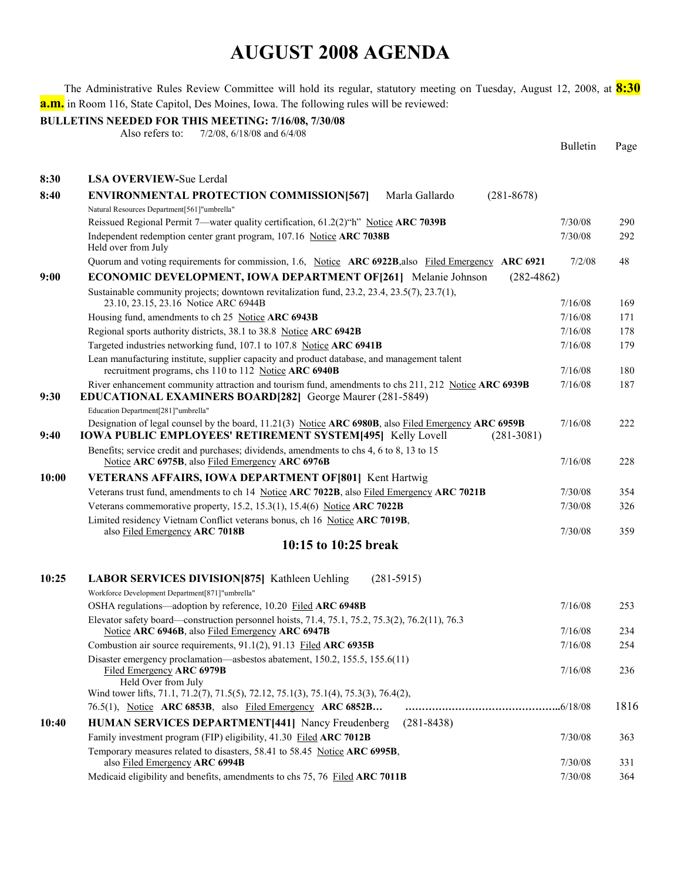The Administrative Rules Review Committee will hold its regular, statutory meeting on Tuesday, August 12, 2008, at **8:30 a.m.** in Room 116, State Capitol, Des Moines, Iowa. The following rules will be reviewed:

**BULLETINS NEEDED FOR THIS MEETING: 7/16/08, 7/30/08** 

Also refers to: 7/2/08, 6/18/08 and 6/4/08

|       |                                                                                                                                                                                             | <b>Bulletin</b> | Page |
|-------|---------------------------------------------------------------------------------------------------------------------------------------------------------------------------------------------|-----------------|------|
| 8:30  | <b>LSA OVERVIEW-Sue Lerdal</b>                                                                                                                                                              |                 |      |
| 8:40  | <b>ENVIRONMENTAL PROTECTION COMMISSION[567]</b><br>Marla Gallardo<br>$(281 - 8678)$                                                                                                         |                 |      |
|       | Natural Resources Department[561]"umbrella"                                                                                                                                                 |                 |      |
|       | Reissued Regional Permit 7—water quality certification, 61.2(2)"h" Notice ARC 7039B                                                                                                         | 7/30/08         | 290  |
|       | Independent redemption center grant program, 107.16 Notice ARC 7038B<br>Held over from July                                                                                                 | 7/30/08         | 292  |
|       | Quorum and voting requirements for commission, 1.6, Notice ARC 6922B, also Filed Emergency ARC 6921                                                                                         | 7/2/08          | 48   |
| 9:00  | <b>ECONOMIC DEVELOPMENT, IOWA DEPARTMENT OF [261]</b> Melanie Johnson<br>$(282 - 4862)$                                                                                                     |                 |      |
|       | Sustainable community projects; downtown revitalization fund, 23.2, 23.4, 23.5(7), 23.7(1),<br>23.10, 23.15, 23.16 Notice ARC 6944B                                                         | 7/16/08         | 169  |
|       | Housing fund, amendments to ch 25 Notice ARC 6943B                                                                                                                                          | 7/16/08         | 171  |
|       | Regional sports authority districts, 38.1 to 38.8 Notice ARC 6942B                                                                                                                          | 7/16/08         | 178  |
|       | Targeted industries networking fund, 107.1 to 107.8 Notice ARC 6941B                                                                                                                        | 7/16/08         | 179  |
|       | Lean manufacturing institute, supplier capacity and product database, and management talent<br>recruitment programs, chs 110 to 112 Notice ARC 6940B                                        | 7/16/08         | 180  |
| 9:30  | River enhancement community attraction and tourism fund, amendments to chs 211, 212 Notice ARC 6939B<br>EDUCATIONAL EXAMINERS BOARD[282] George Maurer (281-5849)                           | 7/16/08         | 187  |
|       | Education Department[281]"umbrella"                                                                                                                                                         |                 |      |
| 9:40  | Designation of legal counsel by the board, 11.21(3) Notice ARC 6980B, also Filed Emergency ARC 6959B<br><b>IOWA PUBLIC EMPLOYEES' RETIREMENT SYSTEM[495] Kelly Lovell</b><br>$(281 - 3081)$ | 7/16/08         | 222  |
|       | Benefits; service credit and purchases; dividends, amendments to chs 4, 6 to 8, 13 to 15<br>Notice ARC 6975B, also Filed Emergency ARC 6976B                                                | 7/16/08         | 228  |
| 10:00 | <b>VETERANS AFFAIRS, IOWA DEPARTMENT OF [801] Kent Hartwig</b>                                                                                                                              |                 |      |
|       | Veterans trust fund, amendments to ch 14 Notice ARC 7022B, also Filed Emergency ARC 7021B                                                                                                   | 7/30/08         | 354  |
|       | Veterans commemorative property, 15.2, 15.3(1), 15.4(6) Notice ARC 7022B                                                                                                                    | 7/30/08         | 326  |
|       | Limited residency Vietnam Conflict veterans bonus, ch 16 Notice ARC 7019B,<br>also Filed Emergency ARC 7018B                                                                                | 7/30/08         | 359  |
|       | 10:15 to 10:25 break                                                                                                                                                                        |                 |      |
| 10:25 | <b>LABOR SERVICES DIVISION [875]</b> Kathleen Uehling<br>$(281 - 5915)$                                                                                                                     |                 |      |
|       | Workforce Development Department[871]"umbrella"<br>OSHA regulations—adoption by reference, 10.20 Filed ARC 6948B                                                                            | 7/16/08         | 253  |
|       | Elevator safety board—construction personnel hoists, 71.4, 75.1, 75.2, 75.3(2), 76.2(11), 76.3                                                                                              |                 |      |
|       | Notice ARC 6946B, also Filed Emergency ARC 6947B                                                                                                                                            | 7/16/08         | 234  |
|       | Combustion air source requirements, $91.1(2)$ , $91.13$ Filed ARC 6935B                                                                                                                     | 7/16/08         | 254  |
|       | Disaster emergency proclamation—asbestos abatement, 150.2, 155.5, 155.6(11)<br>Filed Emergency ARC 6979B                                                                                    | 7/16/08         | 236  |
|       | Held Over from July                                                                                                                                                                         |                 |      |
|       | Wind tower lifts, 71.1, 71.2(7), 71.5(5), 72.12, 75.1(3), 75.1(4), 75.3(3), 76.4(2),<br>76.5(1), Notice ARC 6853B, also Filed Emergency ARC 6852B                                           |                 | 1816 |
| 10:40 | $(281 - 8438)$<br><b>HUMAN SERVICES DEPARTMENT[441] Nancy Freudenberg</b>                                                                                                                   |                 |      |
|       | Family investment program (FIP) eligibility, 41.30 Filed ARC 7012B                                                                                                                          | 7/30/08         | 363  |
|       | Temporary measures related to disasters, 58.41 to 58.45 Notice ARC 6995B,                                                                                                                   |                 |      |
|       | also Filed Emergency ARC 6994B                                                                                                                                                              | 7/30/08         | 331  |
|       | Medicaid eligibility and benefits, amendments to chs 75, 76 Filed ARC 7011B                                                                                                                 | 7/30/08         | 364  |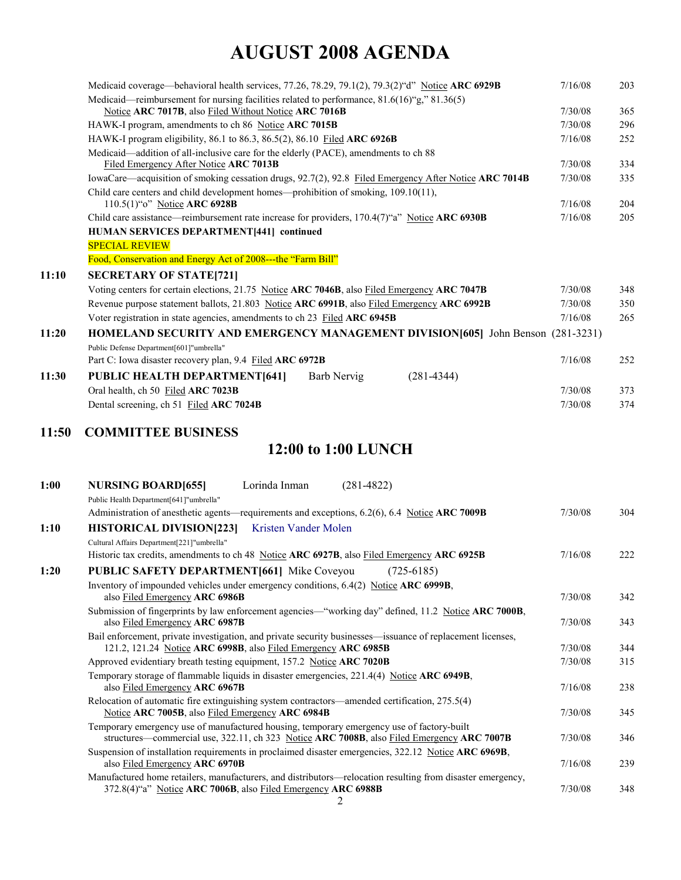|       | Medicaid coverage—behavioral health services, 77.26, 78.29, 79.1(2), 79.3(2) "d" Notice ARC 6929B     | 7/16/08 | 203 |
|-------|-------------------------------------------------------------------------------------------------------|---------|-----|
|       | Medicaid—reimbursement for nursing facilities related to performance, $81.6(16)$ "g," $81.36(5)$      |         |     |
|       | Notice ARC 7017B, also Filed Without Notice ARC 7016B                                                 | 7/30/08 | 365 |
|       | HAWK-I program, amendments to ch 86 Notice ARC 7015B                                                  | 7/30/08 | 296 |
|       | HAWK-I program eligibility, 86.1 to 86.3, 86.5(2), 86.10 Filed ARC 6926B                              | 7/16/08 | 252 |
|       | Medicaid—addition of all-inclusive care for the elderly (PACE), amendments to ch 88                   |         |     |
|       | Filed Emergency After Notice ARC 7013B                                                                | 7/30/08 | 334 |
|       | IowaCare—acquisition of smoking cessation drugs, 92.7(2), 92.8 Filed Emergency After Notice ARC 7014B | 7/30/08 | 335 |
|       | Child care centers and child development homes—prohibition of smoking, 109.10(11),                    |         |     |
|       | 110.5(1)"o" Notice ARC 6928B                                                                          | 7/16/08 | 204 |
|       | Child care assistance—reimbursement rate increase for providers, $170.4(7)$ "a" Notice ARC 6930B      | 7/16/08 | 205 |
|       | HUMAN SERVICES DEPARTMENT[441] continued                                                              |         |     |
|       | <b>SPECIAL REVIEW</b>                                                                                 |         |     |
|       | Food, Conservation and Energy Act of 2008---the "Farm Bill"                                           |         |     |
| 11:10 | <b>SECRETARY OF STATE[721]</b>                                                                        |         |     |
|       | Voting centers for certain elections, 21.75 Notice ARC 7046B, also Filed Emergency ARC 7047B          | 7/30/08 | 348 |
|       | Revenue purpose statement ballots, 21.803 Notice ARC 6991B, also Filed Emergency ARC 6992B            | 7/30/08 | 350 |
|       | Voter registration in state agencies, amendments to ch 23 Filed ARC 6945B                             | 7/16/08 | 265 |
| 11:20 | HOMELAND SECURITY AND EMERGENCY MANAGEMENT DIVISION[605] John Benson (281-3231)                       |         |     |
|       | Public Defense Department[601]"umbrella"                                                              |         |     |
|       | Part C: Iowa disaster recovery plan, 9.4 Filed ARC 6972B                                              | 7/16/08 | 252 |
| 11:30 | <b>PUBLIC HEALTH DEPARTMENT[641]</b><br>$(281 - 4344)$<br>Barb Nervig                                 |         |     |
|       | Oral health, ch 50 Filed ARC 7023B                                                                    | 7/30/08 | 373 |
|       | Dental screening, ch 51 Filed ARC 7024B                                                               | 7/30/08 | 374 |
|       |                                                                                                       |         |     |

#### **11:50 COMMITTEE BUSINESS**

### **12:00 to 1:00 LUNCH**

| 1:00 | <b>NURSING BOARD[655]</b><br>Lorinda Inman<br>$(281 - 4822)$                                               |         |     |
|------|------------------------------------------------------------------------------------------------------------|---------|-----|
|      | Public Health Department[641]"umbrella"                                                                    |         |     |
|      | Administration of anesthetic agents—requirements and exceptions, 6.2(6), 6.4 Notice ARC 7009B              | 7/30/08 | 304 |
|      |                                                                                                            |         |     |
| 1:10 | <b>HISTORICAL DIVISION[223]</b><br>Kristen Vander Molen                                                    |         |     |
|      | Cultural Affairs Department[221]"umbrella"                                                                 |         |     |
|      | Historic tax credits, amendments to ch 48 Notice ARC 6927B, also Filed Emergency ARC 6925B                 | 7/16/08 | 222 |
| 1:20 | <b>PUBLIC SAFETY DEPARTMENT[661] Mike Coveyou</b><br>$(725-6185)$                                          |         |     |
|      | Inventory of impounded vehicles under emergency conditions, 6.4(2) Notice ARC 6999B,                       |         |     |
|      | also Filed Emergency ARC 6986B                                                                             | 7/30/08 | 342 |
|      | Submission of fingerprints by law enforcement agencies—"working day" defined, 11.2 Notice ARC 7000B,       |         |     |
|      | also Filed Emergency ARC 6987B                                                                             | 7/30/08 | 343 |
|      | Bail enforcement, private investigation, and private security businesses—issuance of replacement licenses, |         |     |
|      | 121.2, 121.24 Notice ARC 6998B, also Filed Emergency ARC 6985B                                             | 7/30/08 | 344 |
|      | Approved evidentiary breath testing equipment, 157.2 Notice ARC 7020B                                      | 7/30/08 | 315 |
|      | Temporary storage of flammable liquids in disaster emergencies, 221.4(4) Notice ARC 6949B,                 |         |     |
|      | also Filed Emergency ARC 6967B                                                                             | 7/16/08 | 238 |
|      | Relocation of automatic fire extinguishing system contractors—amended certification, 275.5(4)              |         |     |
|      | Notice ARC 7005B, also Filed Emergency ARC 6984B                                                           | 7/30/08 | 345 |
|      | Temporary emergency use of manufactured housing, temporary emergency use of factory-built                  |         |     |
|      | structures—commercial use, 322.11, ch 323 Notice ARC 7008B, also Filed Emergency ARC 7007B                 | 7/30/08 | 346 |
|      | Suspension of installation requirements in proclaimed disaster emergencies, 322.12 Notice ARC 6969B,       |         |     |
|      | also Filed Emergency ARC 6970B                                                                             | 7/16/08 | 239 |
|      | Manufactured home retailers, manufacturers, and distributors—relocation resulting from disaster emergency, |         |     |
|      | 372.8(4)"a" Notice ARC 7006B, also Filed Emergency ARC 6988B                                               | 7/30/08 | 348 |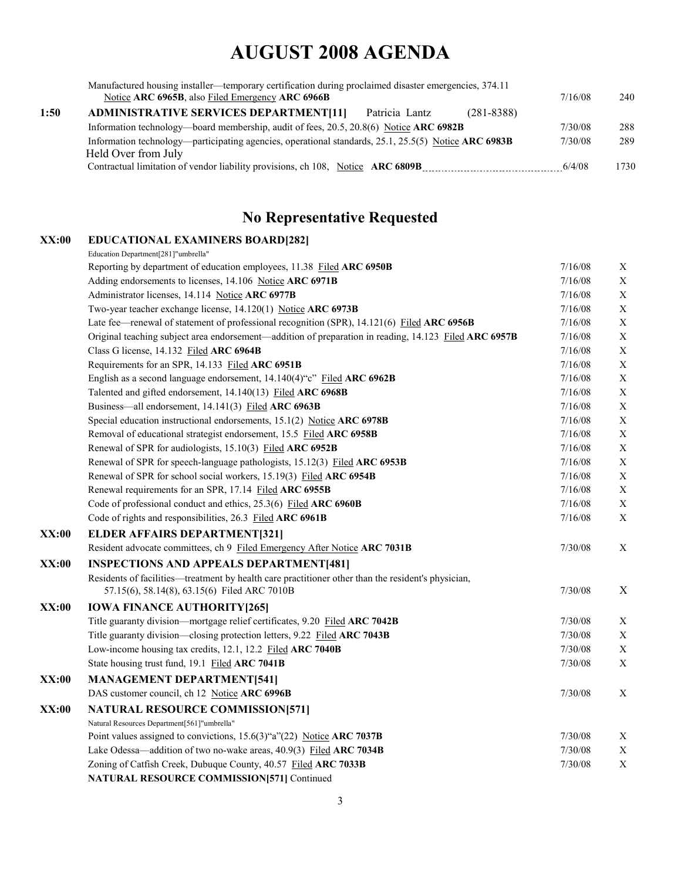|      | Manufactured housing installer—temporary certification during proclaimed disaster emergencies, 374.11<br>Notice ARC 6965B, also Filed Emergency ARC 6966B | 7/16/08 | 240  |
|------|-----------------------------------------------------------------------------------------------------------------------------------------------------------|---------|------|
| 1:50 | <b>ADMINISTRATIVE SERVICES DEPARTMENT[11]</b><br>Patricia Lantz<br>$(281 - 8388)$                                                                         |         |      |
|      | Information technology—board membership, audit of fees, 20.5, 20.8(6) Notice ARC 6982B                                                                    | 7/30/08 | 288  |
|      | Information technology—participating agencies, operational standards, 25.1, 25.5(5) Notice ARC 6983B                                                      | 7/30/08 | 289  |
|      | Held Over from July                                                                                                                                       |         |      |
|      | Contractual limitation of vendor liability provisions, ch 108, Notice ARC 6809B                                                                           | 6/4/08  | 1730 |

### **No Representative Requested**

| XX:00        | <b>EDUCATIONAL EXAMINERS BOARD[282]</b>                                                               |         |             |
|--------------|-------------------------------------------------------------------------------------------------------|---------|-------------|
|              | Education Department[281]"umbrella"                                                                   |         |             |
|              | Reporting by department of education employees, 11.38 Filed ARC 6950B                                 | 7/16/08 | X           |
|              | Adding endorsements to licenses, 14.106 Notice ARC 6971B                                              | 7/16/08 | $\mathbf X$ |
|              | Administrator licenses, 14.114 Notice ARC 6977B                                                       | 7/16/08 | $\mathbf X$ |
|              | Two-year teacher exchange license, 14.120(1) Notice ARC 6973B                                         | 7/16/08 | $\mathbf X$ |
|              | Late fee—renewal of statement of professional recognition (SPR), 14.121(6) Filed ARC 6956B            | 7/16/08 | $\mathbf X$ |
|              | Original teaching subject area endorsement—addition of preparation in reading, 14.123 Filed ARC 6957B | 7/16/08 | $\mathbf X$ |
|              | Class G license, 14.132 Filed ARC 6964B                                                               | 7/16/08 | $\mathbf X$ |
|              | Requirements for an SPR, 14.133 Filed ARC 6951B                                                       | 7/16/08 | $\mathbf X$ |
|              | English as a second language endorsement, 14.140(4)"c" Filed ARC 6962B                                | 7/16/08 | $\mathbf X$ |
|              | Talented and gifted endorsement, 14.140(13) Filed ARC 6968B                                           | 7/16/08 | $\mathbf X$ |
|              | Business—all endorsement, 14.141(3) Filed ARC 6963B                                                   | 7/16/08 | $\mathbf X$ |
|              | Special education instructional endorsements, 15.1(2) Notice ARC 6978B                                | 7/16/08 | $\mathbf X$ |
|              | Removal of educational strategist endorsement, 15.5 Filed ARC 6958B                                   | 7/16/08 | $\mathbf X$ |
|              | Renewal of SPR for audiologists, 15.10(3) Filed ARC 6952B                                             | 7/16/08 | $\mathbf X$ |
|              | Renewal of SPR for speech-language pathologists, 15.12(3) Filed ARC 6953B                             | 7/16/08 | $\mathbf X$ |
|              | Renewal of SPR for school social workers, 15.19(3) Filed ARC 6954B                                    | 7/16/08 | $\mathbf X$ |
|              | Renewal requirements for an SPR, 17.14 Filed ARC 6955B                                                | 7/16/08 | $\mathbf X$ |
|              | Code of professional conduct and ethics, 25.3(6) Filed ARC 6960B                                      | 7/16/08 | $\mathbf X$ |
|              | Code of rights and responsibilities, 26.3 Filed ARC 6961B                                             | 7/16/08 | X           |
| <b>XX:00</b> | <b>ELDER AFFAIRS DEPARTMENT[321]</b>                                                                  |         |             |
|              | Resident advocate committees, ch 9 Filed Emergency After Notice ARC 7031B                             | 7/30/08 | X           |
| <b>XX:00</b> | <b>INSPECTIONS AND APPEALS DEPARTMENT[481]</b>                                                        |         |             |
|              | Residents of facilities—treatment by health care practitioner other than the resident's physician,    |         |             |
|              | 57.15(6), 58.14(8), 63.15(6) Filed ARC 7010B                                                          | 7/30/08 | $\mathbf X$ |
| <b>XX:00</b> | <b>IOWA FINANCE AUTHORITY [265]</b>                                                                   |         |             |
|              | Title guaranty division-mortgage relief certificates, 9.20 Filed ARC 7042B                            | 7/30/08 | $\mathbf X$ |
|              | Title guaranty division—closing protection letters, 9.22 Filed ARC 7043B                              | 7/30/08 | $\mathbf X$ |
|              | Low-income housing tax credits, 12.1, 12.2 Filed ARC 7040B                                            | 7/30/08 | $\mathbf X$ |
|              | State housing trust fund, 19.1 Filed ARC 7041B                                                        | 7/30/08 | $\mathbf X$ |
| XX:00        | <b>MANAGEMENT DEPARTMENT[541]</b>                                                                     |         |             |
|              | DAS customer council, ch 12 Notice ARC 6996B                                                          | 7/30/08 | X           |
| <b>XX:00</b> | <b>NATURAL RESOURCE COMMISSION[571]</b>                                                               |         |             |
|              | Natural Resources Department[561]"umbrella"                                                           |         |             |
|              | Point values assigned to convictions, 15.6(3)"a"(22) Notice ARC 7037B                                 | 7/30/08 | $\mathbf X$ |
|              | Lake Odessa—addition of two no-wake areas, 40.9(3) Filed ARC 7034B                                    | 7/30/08 | $\mathbf X$ |
|              | Zoning of Catfish Creek, Dubuque County, 40.57 Filed ARC 7033B                                        | 7/30/08 | $\mathbf X$ |
|              | <b>NATURAL RESOURCE COMMISSION[571] Continued</b>                                                     |         |             |